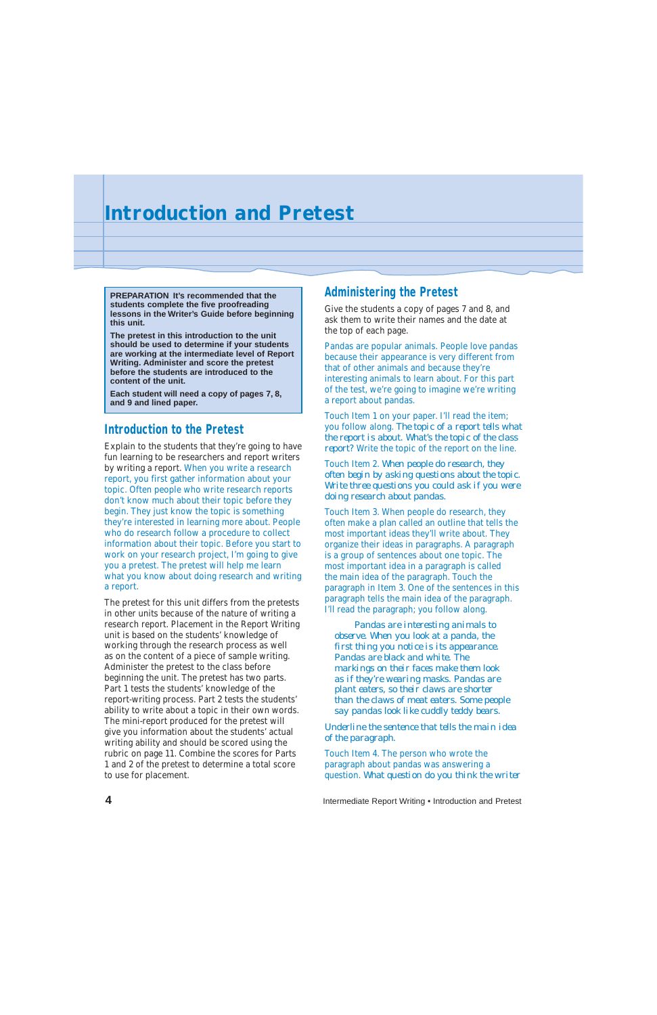#### **Introduction to the Pretest**

Explain to the students that they're going to have fun learning to be researchers and report writers by writing a report. When you write a research report, you first gather information about your topic. Often people who write research reports don't know much about their topic before they begin. They just know the topic is something they're interested in learning more about. People who do research follow a procedure to collect information about their topic. Before you start to work on your research project, I'm going to give you a pretest. The pretest will help me learn what you know about doing research and writing a report.

The pretest for this unit differs from the pretests in other units because of the nature of writing a research report. Placement in the Report Writing unit is based on the students' knowledge of working through the research process as well as on the content of a piece of sample writing. Administer the pretest to the class before beginning the unit. The pretest has two parts. Part 1 tests the students' knowledge of the report-writing process. Part 2 tests the students' ability to write about a topic in their own words. The mini-report produced for the pretest will give you information about the students' actual writing ability and should be scored using the

rubric on page 11. Combine the scores for Parts 1 and 2 of the pretest to determine a total score to use for placement.

#### **Administering the Pretest**

Give the students a copy of pages 7 and 8, and ask them to write their names and the date at the top of each page.

Pandas are popular animals. People love pandas because their appearance is very different from that of other animals and because they're interesting animals to learn about. For this part of the test, we're going to imagine we're writing a report about pandas.

Touch Item 1 on your paper. I'll read the item; you follow along. *The topic of a report tells what the report is about. What's the topic of the class report?* Write the topic of the report on the line.

Touch Item 2. *When people do research, they often begin by asking questions about the topic. Write three questions you could ask if you were doing research about pandas.*

Touch Item 3. When people do research, they often make a plan called an outline that tells the most important ideas they'll write about. They organize their ideas in paragraphs. A paragraph is a group of sentences about one topic. The most important idea in a paragraph is called the main idea of the paragraph. Touch the paragraph in Item 3. One of the sentences in this paragraph tells the main idea of the paragraph. I'll read the paragraph; you follow along.

*Pandas are interesting animals to observe. When you look at a panda, the first thing you notice is its appearance. Pandas are black and white. The markings on their faces make them look as if they're wearing masks. Pandas are plant eaters, so their claws are shorter than the claws of meat eaters. Some people say pandas look like cuddly teddy bears.*

*Underline the sentence that tells the main idea of the paragraph.*

Touch Item 4. The person who wrote the paragraph about pandas was answering a question. *What question do you think the writer*

**4** Intermediate Report Writing • Introduction and Pretest

**PREPARATION It's recommended that the students complete the five proofreading lessons in the Writer's Guide before beginning this unit.**

**The pretest in this introduction to the unit should be used to determine if your students are working at the intermediate level of Report Writing. Administer and score the pretest before the students are introduced to the content of the unit.**

**Each student will need a copy of pages 7, 8, and 9 and lined paper.**

## **Introduction and Pretest**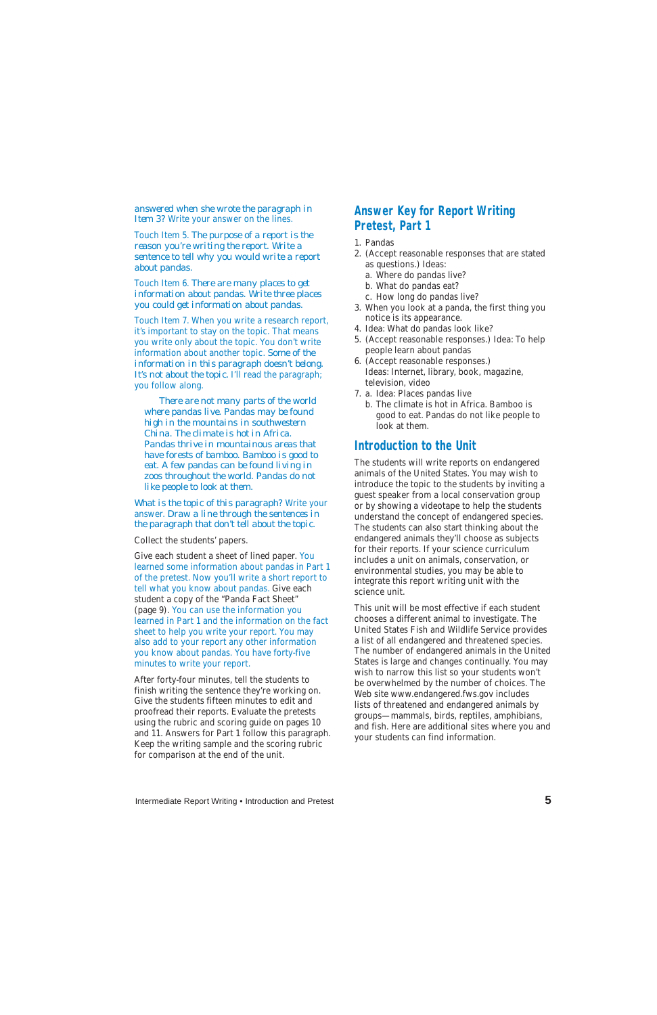Intermediate Report Writing • Introduction and Pretest **5**

*answered when she wrote the paragraph in Item 3?* Write your answer on the lines.

Touch Item 5. *The purpose of a report is the reason you're writing the report. Write a sentence to tell why you would write a report about pandas.*

Touch Item 6. *There are many places to get information about pandas. Write three places you could get information about pandas.*

Touch Item 7. When you write a research report, it's important to stay on the topic. That means you write only about the topic. You don't write information about another topic. *Some of the information in this paragraph doesn't belong.* It's not about the topic. I'll read the paragraph; you follow along.

*There are not many parts of the world where pandas live. Pandas may be found high in the mountains in southwestern China. The climate is hot in Africa. Pandas thrive in mountainous areas that have forests of bamboo. Bamboo is good to eat. A few pandas can be found living in zoos throughout the world. Pandas do not like people to look at them.*

*What is the topic of this paragraph?* Write your answer. *Draw a line through the sentences in the paragraph that don't tell about the topic.*

#### Collect the students' papers.

Give each student a sheet of lined paper. You learned some information about pandas in Part 1 of the pretest. Now you'll write a short report to tell what you know about pandas. Give each student a copy of the "Panda Fact Sheet" (page 9). You can use the information you learned in Part 1 and the information on the fact sheet to help you write your report. You may also add to your report any other information you know about pandas. You have forty-five minutes to write your report.

After forty-four minutes, tell the students to finish writing the sentence they're working on. Give the students fifteen minutes to edit and proofread their reports. Evaluate the pretests using the rubric and scoring guide on pages 10 and 11. Answers for Part 1 follow this paragraph. Keep the writing sample and the scoring rubric for comparison at the end of the unit.

### **Answer Key for Report Writing Pretest, Part 1**

- 1. Pandas
- 2. (Accept reasonable responses that are stated as questions.) Ideas:
	- a. Where do pandas live?
	- b. What do pandas eat?
	- c. How long do pandas live?
- 3. When you look at a panda, the first thing you notice is its appearance.
- 4. Idea: What do pandas look like?
- 5. (Accept reasonable responses.) Idea: To help people learn about pandas
- 6. (Accept reasonable responses.) Ideas: Internet, library, book, magazine, television, video
- 7. a. Idea: Places pandas live
	- b. The climate is hot in Africa. Bamboo is good to eat. Pandas do not like people to look at them.

#### **Introduction to the Unit**

The students will write reports on endangered animals of the United States. You may wish to introduce the topic to the students by inviting a guest speaker from a local conservation group or by showing a videotape to help the students understand the concept of endangered species. The students can also start thinking about the endangered animals they'll choose as subjects for their reports. If your science curriculum includes a unit on animals, conservation, or environmental studies, you may be able to integrate this report writing unit with the science unit.

This unit will be most effective if each student chooses a different animal to investigate. The United States Fish and Wildlife Service provides a list of all endangered and threatened species. The number of endangered animals in the United States is large and changes continually. You may wish to narrow this list so your students won't be overwhelmed by the number of choices. The Web site www.endangered.fws.gov includes lists of threatened and endangered animals by groups—mammals, birds, reptiles, amphibians, and fish. Here are additional sites where you and your students can find information.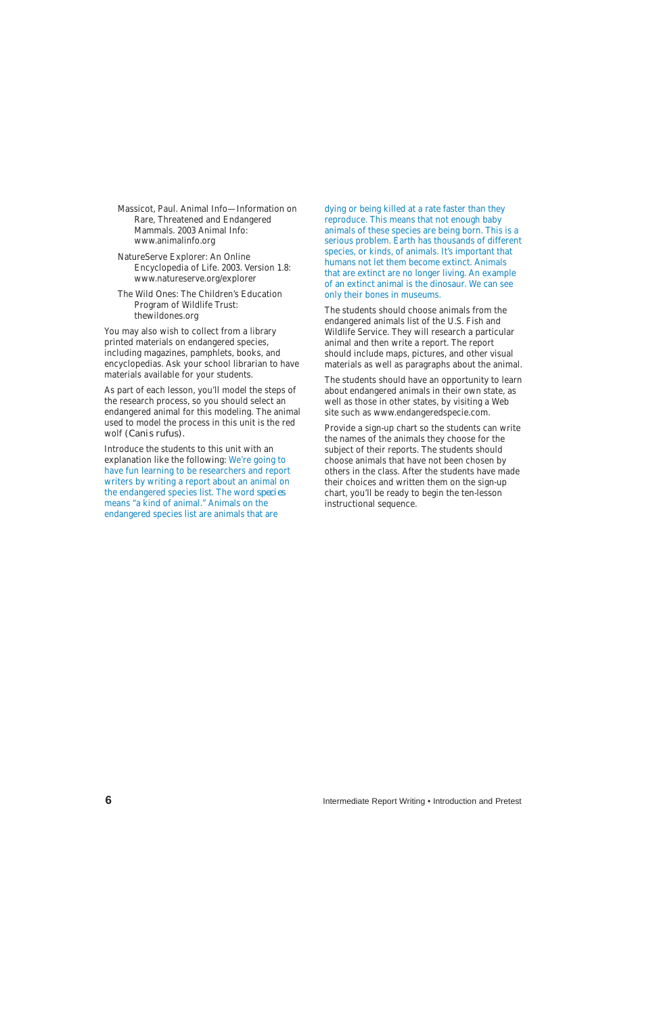Massicot, Paul. Animal Info—Information on Rare, Threatened and Endangered Mammals. 2003 Animal Info: www.animalinfo.org

NatureServe Explorer: An Online Encyclopedia of Life. 2003. Version 1.8: www.natureserve.org/explorer

The Wild Ones: The Children's Education Program of Wildlife Trust: thewildones.org

You may also wish to collect from a library printed materials on endangered species, including magazines, pamphlets, books, and encyclopedias. Ask your school librarian to have materials available for your students.

As part of each lesson, you'll model the steps of the research process, so you should select an endangered animal for this modeling. The animal used to model the process in this unit is the red wolf *(Canis rufus).*

Introduce the students to this unit with an explanation like the following: We're going to have fun learning to be researchers and report writers by writing a report about an animal on the endangered species list. The word *species* means "a kind of animal." Animals on the endangered species list are animals that are

dying or being killed at a rate faster than they reproduce. This means that not enough baby animals of these species are being born. This is a serious problem. Earth has thousands of different species, or kinds, of animals. It's important that humans not let them become extinct. Animals that are extinct are no longer living. An example of an extinct animal is the dinosaur. We can see only their bones in museums.

The students should choose animals from the endangered animals list of the U.S. Fish and Wildlife Service. They will research a particular animal and then write a report. The report should include maps, pictures, and other visual materials as well as paragraphs about the animal.

The students should have an opportunity to learn about endangered animals in their own state, as well as those in other states, by visiting a Web site such as www.endangeredspecie.com.

Provide a sign-up chart so the students can write the names of the animals they choose for the subject of their reports. The students should choose animals that have not been chosen by others in the class. After the students have made their choices and written them on the sign-up chart, you'll be ready to begin the ten-lesson instructional sequence.

**6** Intermediate Report Writing • Introduction and Pretest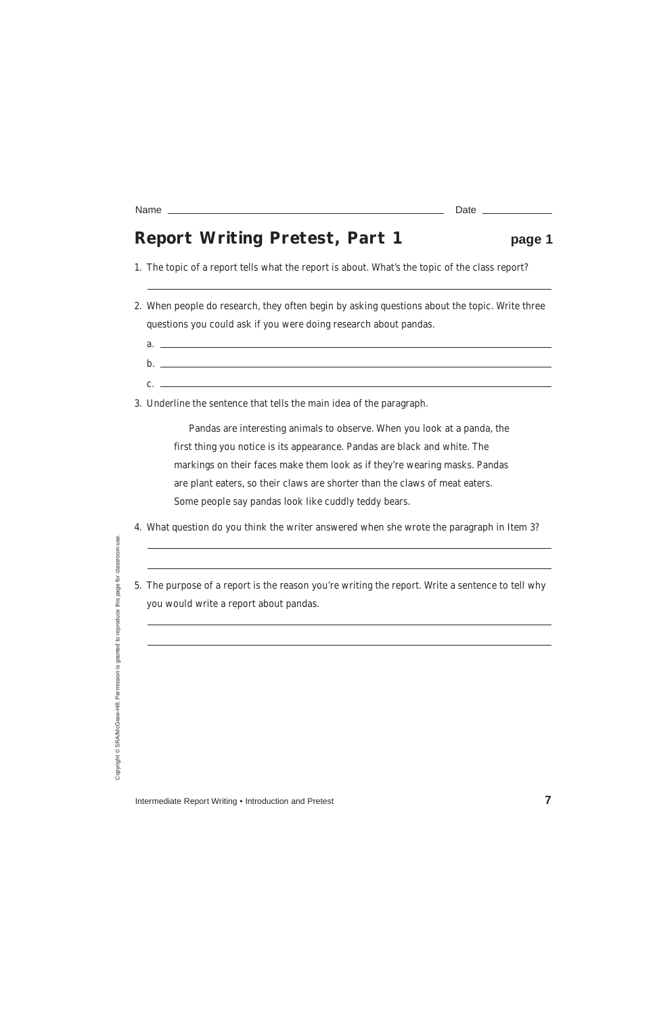## **Report Writing Pretest, Part 1 page 1**

- 2. When people do research, they often begin by asking questions about the topic. Write three questions you could ask if you were doing research about pandas.
	- a. b.  $\mathbf{c}$ .  $\qquad \qquad$

1. The topic of a report tells what the report is about. What's the topic of the class report?

3. Underline the sentence that tells the main idea of the paragraph.

Pandas are interesting animals to observe. When you look at a panda, the first thing you notice is its appearance. Pandas are black and white. The markings on their faces make them look as if they're wearing masks. Pandas are plant eaters, so their claws are shorter than the claws of meat eaters. Some people say pandas look like cuddly teddy bears.

- 4. What question do you think the writer answered when she wrote the paragraph in Item 3?
- 5. The purpose of a report is the reason you're writing the report. Write a sentence to tell why you would write a report about pandas.

Copyright ©:

Intermediate Report Writing • Introduction and Pretest **7 7** 

Name Date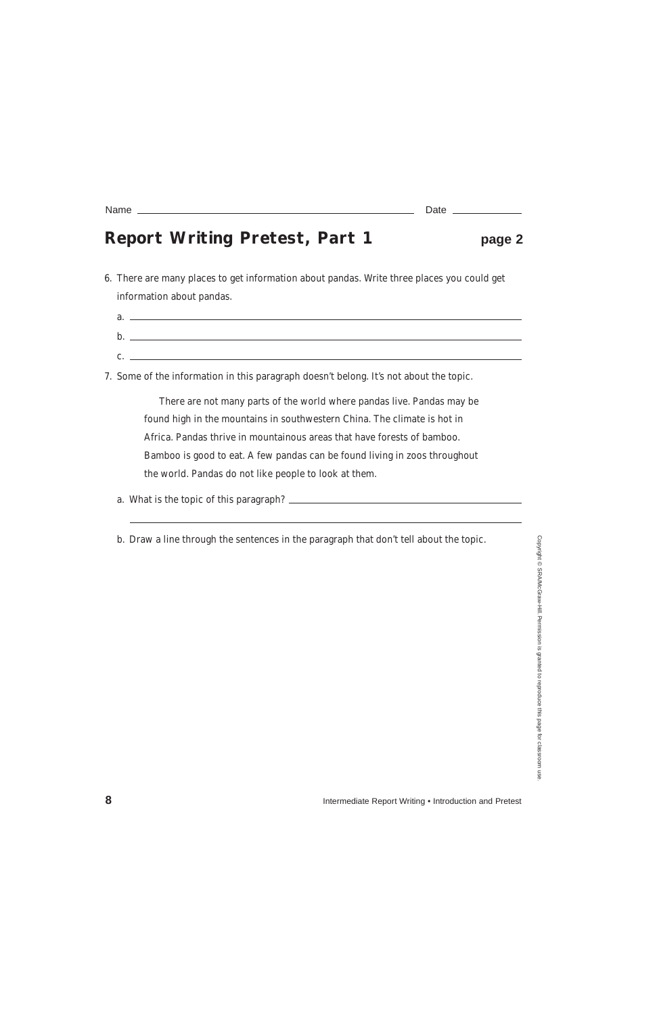## **Report Writing Pretest, Part 1 page 2**

6. There are many places to get information about pandas. Write three places you could get information about pandas.

| a.      |  |
|---------|--|
| b       |  |
| ◠<br>J. |  |

7. Some of the information in this paragraph doesn't belong. It's not about the topic.

There are not many parts of the world where pandas live. Pandas may be found high in the mountains in southwestern China. The climate is hot in Africa. Pandas thrive in mountainous areas that have forests of bamboo. Bamboo is good to eat. A few pandas can be found living in zoos throughout the world. Pandas do not like people to look at them.

a. What is the topic of this paragraph?

b. Draw a line through the sentences in the paragraph that don't tell about the topic.

| Name                     |   |  |  |  |  |
|--------------------------|---|--|--|--|--|
|                          |   |  |  |  |  |
| $\overline{\phantom{a}}$ | . |  |  |  |  |

**8** Intermediate Report Writing • Introduction and Pretest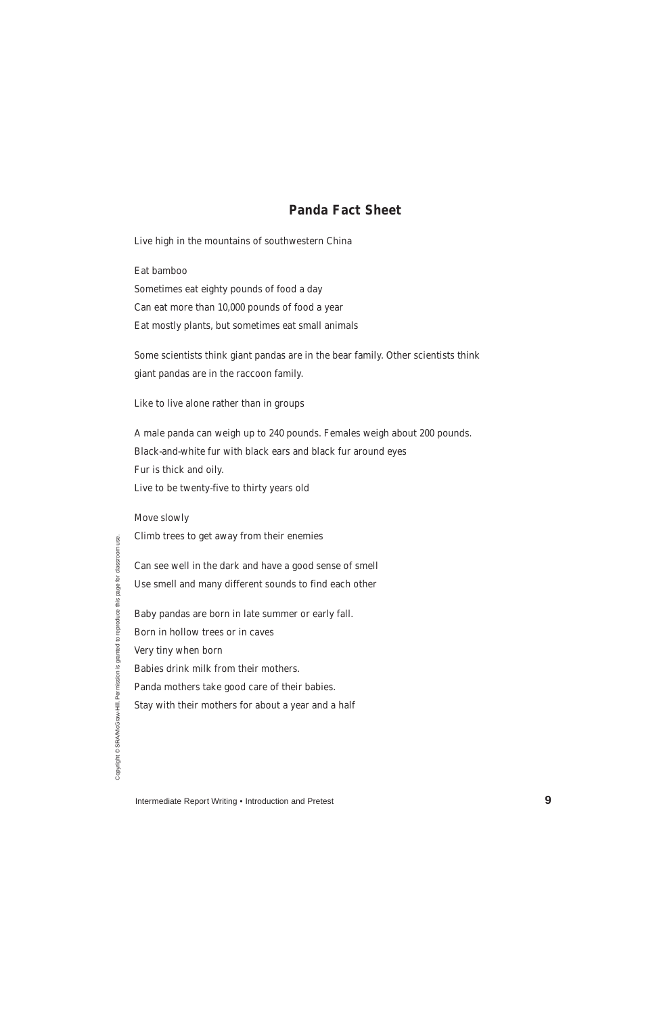## **Panda Fact Sheet**

Live high in the mountains of southwestern China

Eat bamboo

Sometimes eat eighty pounds of food a day Can eat more than 10,000 pounds of food a year Eat mostly plants, but sometimes eat small animals

Some scientists think giant pandas are in the bear family. Other scientists think giant pandas are in the raccoon family.

Like to live alone rather than in groups

A male panda can weigh up to 240 pounds. Females weigh about 200 pounds. Black-and-white fur with black ears and black fur around eyes Fur is thick and oily. Live to be twenty-five to thirty years old

use.

Intermediate Report Writing • Introduction and Pretest **9** 

Move slowly

Climb trees to get away from their enemies

Can see well in the dark and have a good sense of smell

Use smell and many different sounds to find each other

Baby pandas are born in late summer or early fall.

Born in hollow trees or in caves

Very tiny when born

Babies drink milk from their mothers.

Panda mothers take good care of their babies.

Stay with their mothers for about a year and a half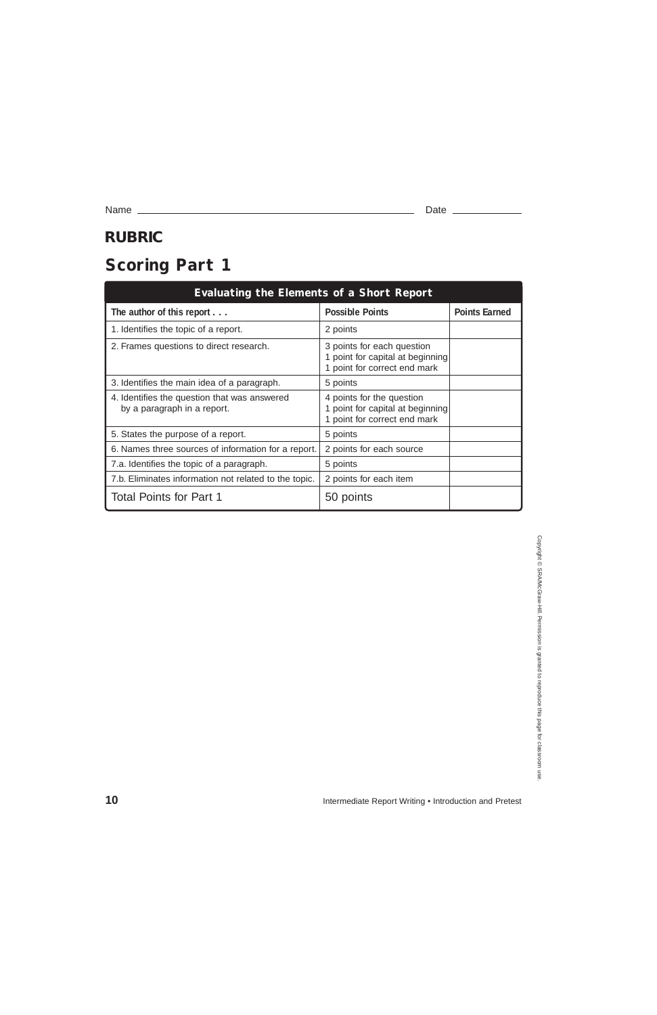| <b>Evaluating the Elements of a Short Report</b>                            |                                                                                                |                      |  |  |  |  |
|-----------------------------------------------------------------------------|------------------------------------------------------------------------------------------------|----------------------|--|--|--|--|
| The author of this report                                                   | <b>Possible Points</b>                                                                         | <b>Points Earned</b> |  |  |  |  |
| 1. Identifies the topic of a report.                                        | 2 points                                                                                       |                      |  |  |  |  |
| 2. Frames questions to direct research.                                     | 3 points for each question<br>1 point for capital at beginning<br>1 point for correct end mark |                      |  |  |  |  |
| 3. Identifies the main idea of a paragraph.                                 | 5 points                                                                                       |                      |  |  |  |  |
| 4. Identifies the question that was answered<br>by a paragraph in a report. | 4 points for the question<br>1 point for capital at beginning<br>1 point for correct end mark  |                      |  |  |  |  |
| 5. States the purpose of a report.                                          | 5 points                                                                                       |                      |  |  |  |  |
| 6. Names three sources of information for a report.                         | 2 points for each source                                                                       |                      |  |  |  |  |
| 7.a. Identifies the topic of a paragraph.                                   | 5 points                                                                                       |                      |  |  |  |  |
| 7.b. Eliminates information not related to the topic.                       | 2 points for each item                                                                         |                      |  |  |  |  |
| <b>Total Points for Part 1</b>                                              | 50 points                                                                                      |                      |  |  |  |  |

# **Scoring Part 1**

Name Date

## **RUBRIC**

**10** Intermediate Report Writing • Introduction and Pretest